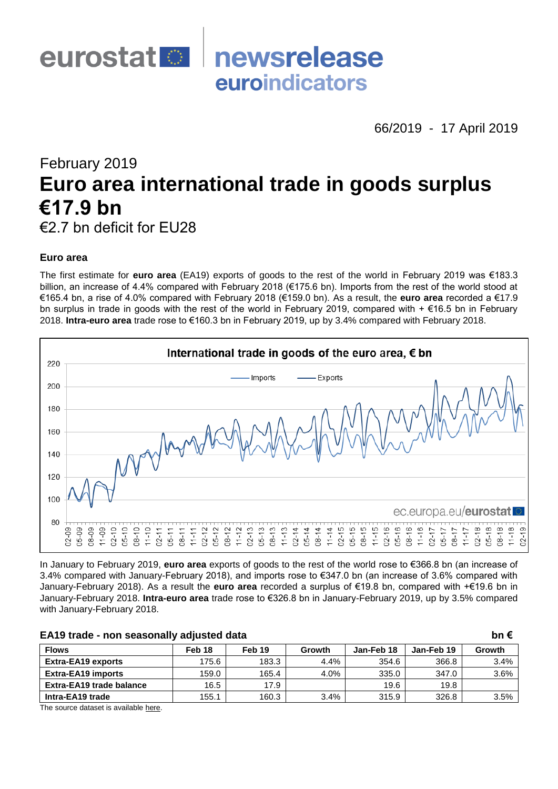

66/2019 - 17 April 2019

# February 2019 **Euro area international trade in goods surplus €17.9 bn** €2.7 bn deficit for EU28

# **Euro area**

The first estimate for **euro area** (EA19) exports of goods to the rest of the world in February 2019 was €183.3 billion, an increase of 4.4% compared with February 2018 (€175.6 bn). Imports from the rest of the world stood at €165.4 bn, a rise of 4.0% compared with February 2018 (€159.0 bn). As a result, the **euro area** recorded a €17.9 bn surplus in trade in goods with the rest of the world in February 2019, compared with + €16.5 bn in February 2018. **Intra-euro area** trade rose to €160.3 bn in February 2019, up by 3.4% compared with February 2018.



In January to February 2019, **euro area** exports of goods to the rest of the world rose to €366.8 bn (an increase of 3.4% compared with January-February 2018), and imports rose to €347.0 bn (an increase of 3.6% compared with January-February 2018). As a result the **euro area** recorded a surplus of €19.8 bn, compared with +€19.6 bn in January-February 2018. **Intra-euro area** trade rose to €326.8 bn in January-February 2019, up by 3.5% compared with January-February 2018.

| EA19 trade - non seasonally adjusted data |                   |        |        |            |            |        |  |  |  |  |  |
|-------------------------------------------|-------------------|--------|--------|------------|------------|--------|--|--|--|--|--|
| <b>Flows</b>                              | Feb <sub>18</sub> | Feb 19 | Growth | Jan-Feb 18 | Jan-Feb 19 | Growth |  |  |  |  |  |
| <b>Extra-EA19 exports</b>                 | 175.6             | 183.3  | 4.4%   | 354.6      | 366.8      | 3.4%   |  |  |  |  |  |
| <b>Extra-EA19 imports</b>                 | 159.0             | 165.4  | 4.0%   | 335.0      | 347.0      | 3.6%   |  |  |  |  |  |
| <b>Extra-EA19 trade balance</b>           | 16.5              | 17.9   |        | 19.6       | 19.8       |        |  |  |  |  |  |
| Intra-EA19 trade                          | 155.1             | 160.3  | 3.4%   | 315.9      | 326.8      | 3.5%   |  |  |  |  |  |

The source dataset is available [here.](http://appsso.eurostat.ec.europa.eu/nui/show.do?query=BOOKMARK_DS-485315_QID_266266ED_UID_-3F171EB0&layout=TIME,C,X,0;PARTNER,L,Y,0;STK_FLOW,L,Y,1;GEO,L,Z,0;INDIC_ET,L,Z,1;SITC06,L,Z,2;INDICATORS,C,Z,3;&zSelection=DS-485315INDICATORS,OBS_FLAG;DS-485315GEO,EA19;DS-485315INDIC_ET,TRD_VAL;DS-485315SITC06,TOTAL;&rankName1=SITC06_1_2_-1_2&rankName2=INDIC-ET_1_2_-1_2&rankName3=GEO_1_2_-1_2&rankName4=INDICATORS_1_2_-1_2&rankName5=TIME_1_0_0_0&rankName6=PARTNER_1_2_0_1&rankName7=STK-FLOW_1_2_1_1&sortC=ASC_-1_FIRST&rStp=&cStp=&rDCh=&cDCh=&rDM=true&cDM=true&footnes=false&empty=false&wai=false&time_mode=ROLLING&time_most_recent=true&lang=EN&cfo=%23%23%23%2C%23%23%23.%23%23%23)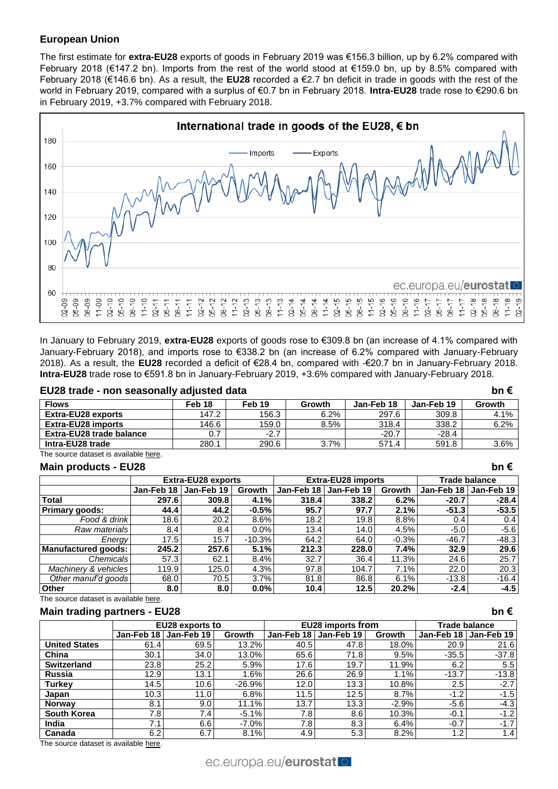# **European Union**

The first estimate for **extra-EU28** exports of goods in February 2019 was €156.3 billion, up by 6.2% compared with February 2018 (€147.2 bn). Imports from the rest of the world stood at €159.0 bn, up by 8.5% compared with February 2018 (€146.6 bn). As a result, the **EU28** recorded a €2.7 bn deficit in trade in goods with the rest of the world in February 2019, compared with a surplus of €0.7 bn in February 2018. **Intra-EU28** trade rose to €290.6 bn in February 2019, +3.7% compared with February 2018.



In January to February 2019, **extra-EU28** exports of goods rose to €309.8 bn (an increase of 4.1% compared with January-February 2018), and imports rose to €338.2 bn (an increase of 6.2% compared with January-February 2018). As a result, the **EU28** recorded a deficit of €28.4 bn, compared with -€20.7 bn in January-February 2018. **Intra-EU28** trade rose to €591.8 bn in January-February 2019, +3.6% compared with January-February 2018.

#### **EU28 trade - non seasonally adjusted data bn €**

| -------------                   |        |        |        |            |            |        |
|---------------------------------|--------|--------|--------|------------|------------|--------|
| <b>Flows</b>                    | Feb 18 | Feb 19 | Growth | Jan-Feb 18 | Jan-Feb 19 | Growth |
| <b>Extra-EU28 exports</b>       | 147.2  | 156.3  | 6.2%   | 297.6      | 309.8      | 4.1%   |
| <b>Extra-EU28 imports</b>       | 146.6  | 159.0  | 8.5%   | 318.4      | 338.2      | 6.2%   |
| <b>Extra-EU28 trade balance</b> |        | $-2.7$ |        | $-20.7$    | $-28.4$    |        |
| Intra-EU28 trade                | 280.1  | 290.6  | 3.7%   | 571.4      | 591.8      | 3.6%   |

The source dataset is available [here.](http://appsso.eurostat.ec.europa.eu/nui/show.do?query=BOOKMARK_DS-337917_QID_-D4145C7_UID_-3F171EB0&layout=TIME,C,X,0;PARTNER,L,Y,0;STK_FLOW,L,Y,1;SITC06,L,Z,0;INDIC_ET,L,Z,1;GEO,L,Z,2;INDICATORS,C,Z,3;&zSelection=DS-337917INDICATORS,OBS_FLAG;DS-337917GEO,EU28;DS-337917INDIC_ET,TRD_VAL;DS-337917SITC06,TOTAL;&rankName1=SITC06_1_2_-1_2&rankName2=INDIC-ET_1_2_-1_2&rankName3=GEO_1_2_-1_2&rankName4=INDICATORS_1_2_-1_2&rankName5=TIME_1_0_0_0&rankName6=PARTNER_1_2_0_1&rankName7=STK-FLOW_1_2_1_1&sortC=ASC_-1_FIRST&rStp=&cStp=&rDCh=&cDCh=&rDM=true&cDM=true&footnes=false&empty=false&wai=false&time_mode=ROLLING&time_most_recent=true&lang=EN&cfo=%23%23%23%2C%23%23%23.%23%23%23)

#### **Main products - EU28 bn €**

|                       |                  | <b>Extra-EU28 exports</b> |               |            | <b>Extra-EU28 imports</b> |         | Trade balance |                         |  |
|-----------------------|------------------|---------------------------|---------------|------------|---------------------------|---------|---------------|-------------------------|--|
|                       | Jan-Feb 18       | Jan-Feb 19                | <b>Growth</b> | Jan-Feb 18 | Jan-Feb 19                | Growth  |               | Jan-Feb 18   Jan-Feb 19 |  |
| <b>Total</b>          | 297.6            | 309.8                     | 4.1%          | 318.4      | 338.2                     | 6.2%    | $-20.7$       | $-28.4$                 |  |
| <b>Primary goods:</b> | 44.4             | 44.2                      | $-0.5%$       | 95.7       | 97.7                      | 2.1%    | $-51.3$       | $-53.5$                 |  |
| Food & drink          | 18.6             | 20.2                      | 8.6%          | 18.2       | 19.8                      | 8.8%    | 0.4           | 0.4                     |  |
| Raw materials         | 8.4              | 8.4                       | $0.0\%$       | 13.4       | 14.0                      | 4.5%    | $-5.0$        | $-5.6$                  |  |
| Energy                | 17.5             | 15.7                      | $-10.3%$      | 64.2       | 64.0                      | $-0.3%$ | $-46.7$       | $-48.3$                 |  |
| Manufactured goods:   | 245.2            | 257.6                     | 5.1%          | 212.3      | 228.0                     | 7.4%    | 32.9          | 29.6                    |  |
| Chemicals             | 57.3             | 62.1                      | 8.4%          | 32.7       | 36.4                      | 11.3%   | 24.6          | 25.7                    |  |
| Machinery & vehicles  | 119.9            | 125.0                     | 4.3%          | 97.8       | 104.7                     | 7.1%    | 22.0          | 20.3                    |  |
| Other manuf'd goods   | 68.0             | 70.5                      | 3.7%          | 81.8       | 86.8                      | 6.1%    | $-13.8$       | $-16.4$                 |  |
| <b>Other</b>          | 8.0 <sub>1</sub> | 8.0                       | $0.0\%$       | 10.4       | 12.5                      | 20.2%   | $-2.4$        | $-4.5$                  |  |

The source dataset is availabl[e here.](http://appsso.eurostat.ec.europa.eu/nui/show.do?query=BOOKMARK_DS-337917_QID_19A1683E_UID_-3F171EB0&layout=TIME,C,X,0;SITC06,L,Y,0;INDIC_ET,L,Z,0;GEO,L,Z,1;PARTNER,L,Z,2;STK_FLOW,L,Z,3;INDICATORS,C,Z,4;&zSelection=DS-337917INDICATORS,OBS_FLAG;DS-337917GEO,EU28;DS-337917INDIC_ET,TRD_VAL;DS-337917STK_FLOW,BAL_RT;DS-337917PARTNER,EXT_EU28;&rankName1=PARTNER_1_2_-1_2&rankName2=STK-FLOW_1_2_-1_2&rankName3=INDIC-ET_1_2_-1_2&rankName4=GEO_1_2_-1_2&rankName5=INDICATORS_1_2_-1_2&rankName6=TIME_1_0_0_0&rankName7=SITC06_1_2_0_1&sortC=ASC_-1_FIRST&rStp=&cStp=&rDCh=&cDCh=&rDM=true&cDM=true&footnes=false&empty=false&wai=false&time_mode=ROLLING&time_most_recent=true&lang=EN&cfo=%23%23%23%2C%23%23%23.%23%23%23)

# **Main trading partners - EU28 bn €**

|                      |                  | EU28 exports to   |          |            | EU28 imports from |         | Trade balance |                  |  |
|----------------------|------------------|-------------------|----------|------------|-------------------|---------|---------------|------------------|--|
|                      | Jan-Feb 18       | Jan-Feb 19        | Growth   | Jan-Feb 18 | Jan-Feb 19        | Growth  | Jan-Feb 18    | Jan-Feb 19       |  |
| <b>United States</b> | 61.4             | 69.5              | 13.2%    | 40.5       | 47.8              | 18.0%   | 20.9          | 21.6             |  |
| China                | 30.1             | 34.0              | 13.0%    | 65.6       | 71.8              | 9.5%    | $-35.5$       | $-37.8$          |  |
| <b>Switzerland</b>   | 23.8             | 25.2              | 5.9%     | 17.6       | 19.7              | 11.9%   | 6.2           | 5.5              |  |
| <b>Russia</b>        | 12.9             | 13.1              | 1.6%     | 26.6       | 26.9              | 1.1%    | $-13.7$       | $-13.8$          |  |
| <b>Turkev</b>        | 14.5             | 10.6 <sub>1</sub> | $-26.9%$ | 12.0       | 13.3 <sub>1</sub> | 10.8%   | $2.5\,$       | $-2.7$           |  |
| Japan                | 10.3             | 11.0              | 6.8%     | 11.5       | 12.5              | 8.7%    | $-1.2$        | $-1.5$           |  |
| <b>Norway</b>        | 8.1              | 9.0               | 11.1%    | 13.7       | 13.3              | $-2.9%$ | $-5.6$        | $-4.3$           |  |
| <b>South Korea</b>   | 7.8 <sub>1</sub> | 7.4 <sub>1</sub>  | $-5.1%$  | 7.8        | 8.6               | 10.3%   | $-0.1$        | $-1.2$           |  |
| India                | 7.1              | 6.6               | $-7.0%$  | 7.8        | 8.3               | 6.4%    | $-0.7$        | $-1.7$           |  |
| Canada               | 6.2              | 6.7               | 8.1%     | 4.9        | 5.3               | 8.2%    | 1.2           | 1.4 <sub>l</sub> |  |

The source dataset is available [here.](http://appsso.eurostat.ec.europa.eu/nui/show.do?query=BOOKMARK_DS-337917_QID_-7C2BCCA0_UID_-3F171EB0&layout=TIME,C,X,0;PARTNER,L,Y,0;INDIC_ET,L,Z,0;GEO,L,Z,1;SITC06,L,Z,2;STK_FLOW,L,Z,3;INDICATORS,C,Z,4;&zSelection=DS-337917INDICATORS,OBS_FLAG;DS-337917GEO,EU28;DS-337917INDIC_ET,TRD_VAL;DS-337917SITC06,TOTAL;DS-337917STK_FLOW,BAL_RT;&rankName1=STK-FLOW_1_2_-1_2&rankName2=SITC06_1_2_-1_2&rankName3=INDIC-ET_1_2_-1_2&rankName4=GEO_1_2_-1_2&rankName5=INDICATORS_1_2_-1_2&rankName6=TIME_1_0_0_0&rankName7=PARTNER_1_2_0_1&ppcRK=FIRST&ppcSO=ASC&sortC=ASC_-1_FIRST&rStp=&cStp=&rDCh=&cDCh=&rDM=true&cDM=true&footnes=false&empty=false&wai=false&time_mode=ROLLING&time_most_recent=true&lang=EN&cfo=%23%23%23%2C%23%23%23.%23%23%23)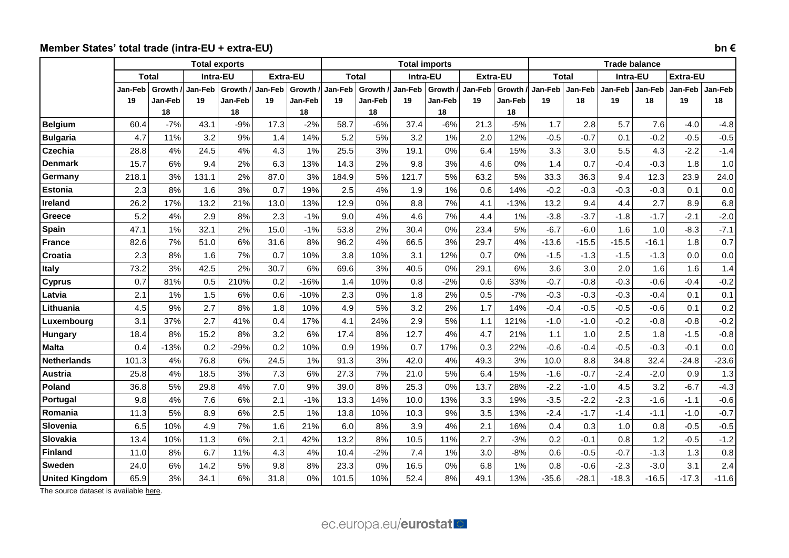# **Member States' total trade (intra-EU + extra-EU) bn €**

|                       |                |              | <b>Total exports</b> |         |                 |          |              |         | <b>Total imports</b> |          |                 |               |              |         | <b>Trade balance</b> |         |                 |         |  |  |
|-----------------------|----------------|--------------|----------------------|---------|-----------------|----------|--------------|---------|----------------------|----------|-----------------|---------------|--------------|---------|----------------------|---------|-----------------|---------|--|--|
|                       |                | <b>Total</b> | Intra-EU             |         | <b>Extra-EU</b> |          | <b>Total</b> |         | Intra-EU             |          | <b>Extra-EU</b> |               | <b>Total</b> |         | Intra-EU             |         | <b>Extra-EU</b> |         |  |  |
|                       | <b>Jan-Feb</b> | Growth       | Jan-Feb              | Growth  | Jan-Feb         | Growth / | Jan-Feb      | Growth  | Jan-Feb              | Growth / | Jan-Feb         | <b>Growth</b> | Jan-Feb      | Jan-Feb | Jan-Feb              | Jan-Feb | Jan-Feb         | Jan-Feb |  |  |
|                       | 19             | Jan-Feb      | 19                   | Jan-Feb | 19              | Jan-Feb  | 19           | Jan-Feb | 19                   | Jan-Feb  | 19              | Jan-Feb       | 19           | 18      | 19                   | 18      | 19              | 18      |  |  |
|                       |                | 18           |                      | 18      |                 | 18       |              | 18      |                      | 18       |                 | 18            |              |         |                      |         |                 |         |  |  |
| <b>Belgium</b>        | 60.4           | $-7%$        | 43.1                 | $-9%$   | 17.3            | $-2%$    | 58.7         | $-6%$   | 37.4                 | $-6%$    | 21.3            | $-5%$         | 1.7          | 2.8     | 5.7                  | 7.6     | $-4.0$          | $-4.8$  |  |  |
| <b>Bulgaria</b>       | 4.7            | 11%          | 3.2                  | 9%      | 1.4             | 14%      | 5.2          | 5%      | 3.2                  | 1%       | 2.0             | 12%           | $-0.5$       | $-0.7$  | 0.1                  | $-0.2$  | $-0.5$          | $-0.5$  |  |  |
| <b>Czechia</b>        | 28.8           | 4%           | 24.5                 | 4%      | 4.3             | 1%       | 25.5         | 3%      | 19.1                 | 0%       | 6.4             | 15%           | 3.3          | 3.0     | 5.5                  | 4.3     | $-2.2$          | $-1.4$  |  |  |
| <b>Denmark</b>        | 15.7           | 6%           | 9.4                  | 2%      | 6.3             | 13%      | 14.3         | 2%      | 9.8                  | 3%       | 4.6             | 0%            | 1.4          | 0.7     | $-0.4$               | $-0.3$  | 1.8             | 1.0     |  |  |
| Germany               | 218.1          | 3%           | 131.1                | 2%      | 87.0            | 3%       | 184.9        | 5%      | 121.7                | 5%       | 63.2            | 5%            | 33.3         | 36.3    | 9.4                  | 12.3    | 23.9            | 24.0    |  |  |
| Estonia               | 2.3            | 8%           | 1.6                  | 3%      | 0.7             | 19%      | 2.5          | 4%      | 1.9                  | 1%       | 0.6             | 14%           | $-0.2$       | $-0.3$  | $-0.3$               | $-0.3$  | 0.1             | 0.0     |  |  |
| <b>Ireland</b>        | 26.2           | 17%          | 13.2                 | 21%     | 13.0            | 13%      | 12.9         | 0%      | 8.8                  | 7%       | 4.1             | $-13%$        | 13.2         | 9.4     | 4.4                  | 2.7     | 8.9             | 6.8     |  |  |
| Greece                | 5.2            | 4%           | 2.9                  | 8%      | 2.3             | $-1%$    | 9.0          | 4%      | 4.6                  | 7%       | 4.4             | 1%            | $-3.8$       | $-3.7$  | $-1.8$               | $-1.7$  | $-2.1$          | $-2.0$  |  |  |
| Spain                 | 47.1           | 1%           | 32.1                 | 2%      | 15.0            | $-1%$    | 53.8         | 2%      | 30.4                 | 0%       | 23.4            | 5%            | $-6.7$       | $-6.0$  | 1.6                  | 1.0     | $-8.3$          | $-7.1$  |  |  |
| <b>France</b>         | 82.6           | 7%           | 51.0                 | 6%      | 31.6            | 8%       | 96.2         | 4%      | 66.5                 | 3%       | 29.7            | 4%            | $-13.6$      | $-15.5$ | $-15.5$              | $-16.1$ | 1.8             | 0.7     |  |  |
| Croatia               | 2.3            | 8%           | 1.6                  | 7%      | 0.7             | 10%      | 3.8          | 10%     | 3.1                  | 12%      | 0.7             | 0%            | $-1.5$       | $-1.3$  | $-1.5$               | $-1.3$  | 0.0             | 0.0     |  |  |
| Italy                 | 73.2           | 3%           | 42.5                 | 2%      | 30.7            | 6%       | 69.6         | 3%      | 40.5                 | 0%       | 29.1            | 6%            | 3.6          | 3.0     | 2.0                  | 1.6     | 1.6             | 1.4     |  |  |
| <b>Cyprus</b>         | 0.7            | 81%          | 0.5                  | 210%    | 0.2             | $-16%$   | 1.4          | 10%     | 0.8                  | $-2%$    | 0.6             | 33%           | $-0.7$       | $-0.8$  | $-0.3$               | $-0.6$  | $-0.4$          | $-0.2$  |  |  |
| Latvia                | 2.1            | 1%           | 1.5                  | 6%      | 0.6             | $-10%$   | 2.3          | 0%      | 1.8                  | 2%       | 0.5             | $-7%$         | $-0.3$       | $-0.3$  | $-0.3$               | $-0.4$  | 0.1             | 0.1     |  |  |
| Lithuania             | 4.5            | 9%           | 2.7                  | 8%      | 1.8             | 10%      | 4.9          | 5%      | 3.2                  | 2%       | 1.7             | 14%           | $-0.4$       | $-0.5$  | $-0.5$               | $-0.6$  | 0.1             | 0.2     |  |  |
| Luxembourg            | 3.1            | 37%          | 2.7                  | 41%     | 0.4             | 17%      | 4.1          | 24%     | 2.9                  | 5%       | 1.1             | 121%          | $-1.0$       | $-1.0$  | $-0.2$               | $-0.8$  | $-0.8$          | $-0.2$  |  |  |
| Hungary               | 18.4           | 8%           | 15.2                 | 8%      | 3.2             | 6%       | 17.4         | 8%      | 12.7                 | 4%       | 4.7             | 21%           | 1.1          | 1.0     | 2.5                  | 1.8     | $-1.5$          | $-0.8$  |  |  |
| <b>Malta</b>          | 0.4            | $-13%$       | 0.2                  | $-29%$  | 0.2             | 10%      | 0.9          | 19%     | 0.7                  | 17%      | 0.3             | 22%           | $-0.6$       | $-0.4$  | $-0.5$               | $-0.3$  | $-0.1$          | 0.0     |  |  |
| <b>Netherlands</b>    | 101.3          | 4%           | 76.8                 | 6%      | 24.5            | 1%       | 91.3         | 3%      | 42.0                 | 4%       | 49.3            | 3%            | 10.0         | 8.8     | 34.8                 | 32.4    | $-24.8$         | $-23.6$ |  |  |
| Austria               | 25.8           | 4%           | 18.5                 | 3%      | 7.3             | 6%       | 27.3         | 7%      | 21.0                 | 5%       | 6.4             | 15%           | $-1.6$       | $-0.7$  | $-2.4$               | $-2.0$  | 0.9             | 1.3     |  |  |
| Poland                | 36.8           | 5%           | 29.8                 | 4%      | 7.0             | 9%       | 39.0         | 8%      | 25.3                 | 0%       | 13.7            | 28%           | $-2.2$       | $-1.0$  | 4.5                  | 3.2     | $-6.7$          | $-4.3$  |  |  |
| Portugal              | 9.8            | 4%           | 7.6                  | 6%      | 2.1             | $-1%$    | 13.3         | 14%     | 10.0                 | 13%      | 3.3             | 19%           | $-3.5$       | $-2.2$  | $-2.3$               | $-1.6$  | $-1.1$          | $-0.6$  |  |  |
| Romania               | 11.3           | 5%           | 8.9                  | 6%      | 2.5             | 1%       | 13.8         | 10%     | 10.3                 | 9%       | 3.5             | 13%           | $-2.4$       | $-1.7$  | $-1.4$               | $-1.1$  | $-1.0$          | $-0.7$  |  |  |
| Slovenia              | 6.5            | 10%          | 4.9                  | 7%      | 1.6             | 21%      | 6.0          | 8%      | 3.9                  | 4%       | 2.1             | 16%           | 0.4          | 0.3     | 1.0                  | 0.8     | $-0.5$          | $-0.5$  |  |  |
| Slovakia              | 13.4           | 10%          | 11.3                 | 6%      | 2.1             | 42%      | 13.2         | 8%      | 10.5                 | 11%      | 2.7             | $-3%$         | 0.2          | $-0.1$  | 0.8                  | 1.2     | $-0.5$          | $-1.2$  |  |  |
| <b>Finland</b>        | 11.0           | 8%           | 6.7                  | 11%     | 4.3             | 4%       | 10.4         | $-2%$   | 7.4                  | 1%       | 3.0             | $-8%$         | 0.6          | $-0.5$  | $-0.7$               | $-1.3$  | 1.3             | 0.8     |  |  |
| <b>Sweden</b>         | 24.0           | 6%           | 14.2                 | 5%      | 9.8             | 8%       | 23.3         | 0%      | 16.5                 | 0%       | 6.8             | 1%            | 0.8          | $-0.6$  | $-2.3$               | $-3.0$  | 3.1             | 2.4     |  |  |
| <b>United Kingdom</b> | 65.9           | 3%           | 34.1                 | 6%      | 31.8            | 0%       | 101.5        | 10%     | 52.4                 | 8%       | 49.1            | 13%           | $-35.6$      | $-28.1$ | $-18.3$              | $-16.5$ | $-17.3$         | $-11.6$ |  |  |

The source dataset is available [here.](http://appsso.eurostat.ec.europa.eu/nui/show.do?query=BOOKMARK_DS-337919_QID_-2F50A394_UID_-3F171EB0&layout=TIME,C,X,0;GEO,L,Y,0;STK_FLOW,L,Z,0;INDIC_ET,L,Z,1;PARTNER,L,Z,2;BCLAS_BEC,L,Z,3;INDICATORS,C,Z,4;&zSelection=DS-337919BCLAS_BEC,TOTAL;DS-337919INDICATORS,OBS_FLAG;DS-337919INDIC_ET,TRD_VAL;DS-337919STK_FLOW,IMP;DS-337919PARTNER,WORLD;&rankName1=PARTNER_1_2_-1_2&rankName2=STK-FLOW_1_2_-1_2&rankName3=BCLAS-BEC_1_2_-1_2&rankName4=INDIC-ET_1_2_-1_2&rankName5=INDICATORS_1_2_-1_2&rankName6=TIME_1_0_0_0&rankName7=GEO_1_2_0_1&sortC=ASC_-1_FIRST&rStp=&cStp=&rDCh=&cDCh=&rDM=true&cDM=true&footnes=false&empty=false&wai=false&time_mode=ROLLING&time_most_recent=false&lang=EN&cfo=%23%23%23%2C%23%23%23.%23%23%23)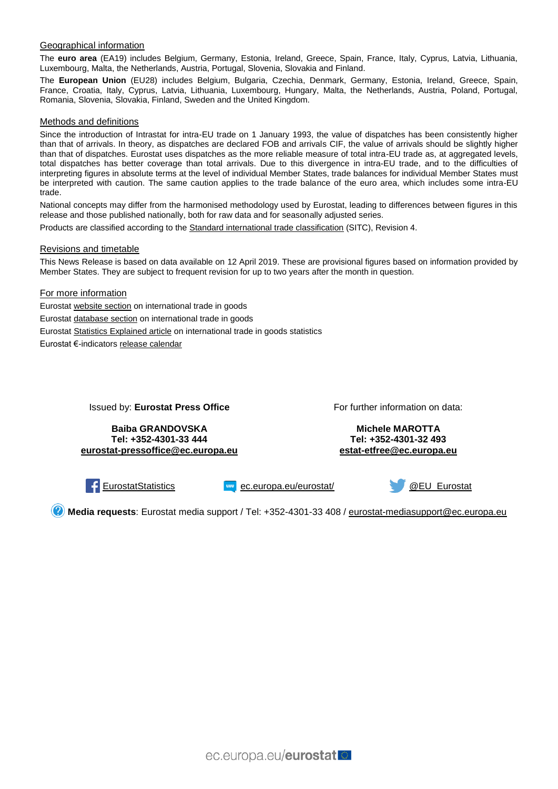#### Geographical information

The **euro area** (EA19) includes Belgium, Germany, Estonia, Ireland, Greece, Spain, France, Italy, Cyprus, Latvia, Lithuania, Luxembourg, Malta, the Netherlands, Austria, Portugal, Slovenia, Slovakia and Finland.

The **European Union** (EU28) includes Belgium, Bulgaria, Czechia, Denmark, Germany, Estonia, Ireland, Greece, Spain, France, Croatia, Italy, Cyprus, Latvia, Lithuania, Luxembourg, Hungary, Malta, the Netherlands, Austria, Poland, Portugal, Romania, Slovenia, Slovakia, Finland, Sweden and the United Kingdom.

#### Methods and definitions

Since the introduction of Intrastat for intra-EU trade on 1 January 1993, the value of dispatches has been consistently higher than that of arrivals. In theory, as dispatches are declared FOB and arrivals CIF, the value of arrivals should be slightly higher than that of dispatches. Eurostat uses dispatches as the more reliable measure of total intra-EU trade as, at aggregated levels, total dispatches has better coverage than total arrivals. Due to this divergence in intra-EU trade, and to the difficulties of interpreting figures in absolute terms at the level of individual Member States, trade balances for individual Member States must be interpreted with caution. The same caution applies to the trade balance of the euro area, which includes some intra-EU trade.

National concepts may differ from the harmonised methodology used by Eurostat, leading to differences between figures in this release and those published nationally, both for raw data and for seasonally adjusted series.

Products are classified according to the [Standard international trade classification](https://ec.europa.eu/eurostat/statistics-explained/index.php/Glossary:Standard_international_trade_classification_(SITC)) (SITC), Revision 4.

#### Revisions and timetable

This News Release is based on data available on 12 April 2019. These are provisional figures based on information provided by Member States. They are subject to frequent revision for up to two years after the month in question.

#### For more information

Eurosta[t website section](https://ec.europa.eu/eurostat/web/international-trade-in-goods/overview) on international trade in goods Eurosta[t database section](https://ec.europa.eu/eurostat/web/international-trade-in-goods/data/database) on international trade in goods Eurosta[t Statistics Explained article](https://ec.europa.eu/eurostat/statistics-explained/index.php/International_trade_statistics_-_background) on international trade in goods statistics Eurostat €-indicator[s release calendar](https://ec.europa.eu/eurostat/news/release-calendar)

Issued by: **Eurostat Press Office**

For further information on data:

**Baiba GRANDOVSKA Tel: +352-4301-33 444 [eurostat-pressoffice@ec.europa.eu](mailto:eurostat-pressoffice@ec.europa.eu)**

**Michele MAROTTA Tel: +352-4301-32 493 [estat-etfree@ec.europa.eu](mailto:estat-etfree@ec.europa.eu)**

[EurostatStatistics](https://www.facebook.com/EurostatStatistics) [ec.europa.eu/eurostat/](https://ec.europa.eu/eurostat/) [@EU\\_Eurostat](https://twitter.com/EU_Eurostat)



**Media requests**: Eurostat media support / Tel: +352-4301-33 408 / [eurostat-mediasupport@ec.europa.eu](mailto:eurostat-mediasupport@ec.europa.eu)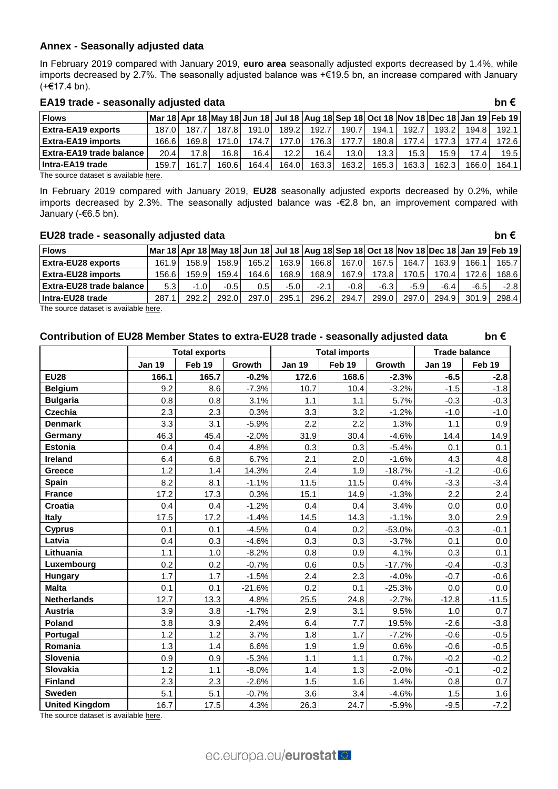# **Annex - Seasonally adjusted data**

In February 2019 compared with January 2019, **euro area** seasonally adjusted exports decreased by 1.4%, while imports decreased by 2.7%. The seasonally adjusted balance was +€19.5 bn, an increase compared with January (+€17.4 bn).

#### **EA19 trade - seasonally adjusted data bn €**

| <b>Flows</b>              |        |       | Mar 18 Apr 18 May 18 Jun 18 Jul 18  Aug 18 Sep 18 Oct 18  Nov 18 Dec 18 Jan 19  Feb 19 |       |       |                    |       |       |       |       |        |       |
|---------------------------|--------|-------|----------------------------------------------------------------------------------------|-------|-------|--------------------|-------|-------|-------|-------|--------|-------|
| <b>Extra-EA19 exports</b> | 187.0  | 187., | 187.81                                                                                 | 191.0 | 189.2 | 192.7              | 190.7 | 194.1 | 192.7 | 193.2 | 194.8  | 192.1 |
| <b>Extra-EA19 imports</b> | 166.61 | 169.8 |                                                                                        | 174.7 | 77.0  | 176.3 <sub>1</sub> | 177.7 | 180.8 | 177.4 |       | 177.4  | 172.6 |
| Extra-EA19 trade balance  | 20.4   | 17.8  | 16.81                                                                                  | 16.4  | 12.2  | 16.4               | 13.0  | 13.3  | 15.3  | 15.9  | 17.4   | 19.5  |
| Intra-EA19 trade          | 159.7  | 161.7 | 160.61                                                                                 | 164.4 | 164.0 | 163.31             | 163.2 | 165.3 | 163.3 | 162.3 | 166.01 | 164.1 |

The source dataset is available [here.](http://appsso.eurostat.ec.europa.eu/nui/show.do?query=BOOKMARK_DS-485315_QID_-4A4215FC_UID_-3F171EB0&layout=TIME,C,X,0;PARTNER,L,Y,0;STK_FLOW,L,Y,1;INDIC_ET,L,Z,0;SITC06,L,Z,1;GEO,L,Z,2;INDICATORS,C,Z,3;&zSelection=DS-485315INDICATORS,OBS_FLAG;DS-485315GEO,EA19;DS-485315INDIC_ET,TRD_VAL_SCA;DS-485315SITC06,TOTAL;&rankName1=SITC06_1_2_-1_2&rankName2=INDIC-ET_1_2_-1_2&rankName3=INDICATORS_1_2_-1_2&rankName4=GEO_1_2_1_1&rankName5=TIME_1_0_0_0&rankName6=PARTNER_1_2_0_1&rankName7=STK-FLOW_1_2_1_1&sortC=ASC_-1_FIRST&rStp=&cStp=&rDCh=&cDCh=&rDM=true&cDM=true&footnes=false&empty=false&wai=false&time_mode=ROLLING&time_most_recent=true&lang=EN&cfo=%23%23%23%2C%23%23%23.%23%23%23)

In February 2019 compared with January 2019, **EU28** seasonally adjusted exports decreased by 0.2%, while imports decreased by 2.3%. The seasonally adjusted balance was -€2.8 bn, an improvement compared with January (-€6.5 bn).

### **EU28 trade - seasonally adjusted data bn €**

| <b>Flows</b>              |       |       | Mar 18   Apr 18   May 18   Jun 18   Jul 18   Aug 18   Sep 18   Oct 18   Nov 18   Dec 18   Jan 19   Feb 19 |               |        |        |        |        |        |        |        |        |
|---------------------------|-------|-------|-----------------------------------------------------------------------------------------------------------|---------------|--------|--------|--------|--------|--------|--------|--------|--------|
| <b>Extra-EU28 exports</b> | 161.9 | 158.9 | 158.91                                                                                                    | 165.2         | 163.9  | 166.8  | 167.0  | 167.5  | 164.7  | 163.9  | 166.1  | 165.7  |
| <b>Extra-EU28 imports</b> | 156.6 | 159.9 | 159.4                                                                                                     | 164.61        | 168.9  | 168.9  | 167.9  | 173.81 | 170.5  | 170.41 | 172.6  | 168.6  |
| Extra-EU28 trade balance  | 5.3   | -1.0  | $-0.5$                                                                                                    | $0.5^{\circ}$ | $-5.0$ | $-2.1$ | $-0.8$ | $-6.3$ | $-5.9$ | -6.4   | $-6.5$ | $-2.8$ |
| Intra-EU28 trade          | 287.1 | 292.2 | 292.0                                                                                                     | 297.01        | 295.1  | 296.2  | 294.7  | 299.0  | 297.01 | 294.9  | 301.9  | 298.4  |

The source dataset is available [here.](http://appsso.eurostat.ec.europa.eu/nui/show.do?query=BOOKMARK_DS-337917_QID_-676E98B2_UID_-3F171EB0&layout=TIME,C,X,0;PARTNER,L,Y,0;STK_FLOW,L,Y,1;INDIC_ET,L,Z,0;GEO,L,Z,1;SITC06,L,Z,2;INDICATORS,C,Z,3;&zSelection=DS-337917INDICATORS,OBS_FLAG;DS-337917GEO,EU28;DS-337917INDIC_ET,TRD_VAL_SCA;DS-337917SITC06,TOTAL;&rankName1=INDIC-ET_1_2_-1_2&rankName2=GEO_1_2_-1_2&rankName3=INDICATORS_1_2_-1_2&rankName4=SITC06_1_2_1_1&rankName5=TIME_1_0_0_0&rankName6=PARTNER_1_2_0_1&rankName7=STK-FLOW_1_2_1_1&sortC=ASC_-1_FIRST&rStp=&cStp=&rDCh=&cDCh=&rDM=true&cDM=true&footnes=false&empty=false&wai=false&time_mode=ROLLING&time_most_recent=true&lang=EN&cfo=%23%23%23%2C%23%23%23.%23%23%23)

## **Contribution of EU28 Member States to extra-EU28 trade - seasonally adjusted data bn €**

|                       |               | <b>Total exports</b> |          |               | <b>Total imports</b> |          | <b>Trade balance</b> |         |
|-----------------------|---------------|----------------------|----------|---------------|----------------------|----------|----------------------|---------|
|                       | <b>Jan 19</b> | Feb 19               | Growth   | <b>Jan 19</b> | Feb 19               | Growth   | <b>Jan 19</b>        | Feb 19  |
| <b>EU28</b>           | 166.1         | 165.7                | $-0.2%$  | 172.6         | 168.6                | $-2.3%$  | $-6.5$               | $-2.8$  |
| <b>Belgium</b>        | 9.2           | 8.6                  | $-7.3%$  | 10.7          | 10.4                 | $-3.2%$  | $-1.5$               | $-1.8$  |
| <b>Bulgaria</b>       | 0.8           | 0.8                  | 3.1%     | 1.1           | 1.1                  | 5.7%     | $-0.3$               | $-0.3$  |
| <b>Czechia</b>        | 2.3           | 2.3                  | 0.3%     | 3.3           | 3.2                  | $-1.2%$  | $-1.0$               | $-1.0$  |
| <b>Denmark</b>        | 3.3           | 3.1                  | $-5.9%$  | 2.2           | 2.2                  | 1.3%     | 1.1                  | 0.9     |
| Germany               | 46.3          | 45.4                 | $-2.0%$  | 31.9          | 30.4                 | $-4.6%$  | 14.4                 | 14.9    |
| <b>Estonia</b>        | 0.4           | 0.4                  | 4.8%     | 0.3           | 0.3                  | $-5.4%$  | 0.1                  | 0.1     |
| <b>Ireland</b>        | 6.4           | 6.8                  | 6.7%     | 2.1           | 2.0                  | $-1.6%$  | 4.3                  | 4.8     |
| Greece                | 1.2           | 1.4                  | 14.3%    | 2.4           | 1.9                  | $-18.7%$ | $-1.2$               | $-0.6$  |
| Spain                 | 8.2           | 8.1                  | $-1.1%$  | 11.5          | 11.5                 | 0.4%     | $-3.3$               | $-3.4$  |
| <b>France</b>         | 17.2          | 17.3                 | 0.3%     | 15.1          | 14.9                 | $-1.3%$  | 2.2                  | 2.4     |
| Croatia               | 0.4           | 0.4                  | $-1.2%$  | 0.4           | 0.4                  | 3.4%     | 0.0                  | 0.0     |
| <b>Italy</b>          | 17.5          | 17.2                 | $-1.4%$  | 14.5          | 14.3                 | $-1.1%$  | 3.0                  | 2.9     |
| Cyprus                | 0.1           | 0.1                  | $-4.5%$  | 0.4           | 0.2                  | $-53.0%$ | $-0.3$               | $-0.1$  |
| Latvia                | 0.4           | 0.3                  | $-4.6%$  | 0.3           | 0.3                  | $-3.7%$  | 0.1                  | 0.0     |
| Lithuania             | 1.1           | 1.0                  | $-8.2%$  | 0.8           | 0.9                  | 4.1%     | 0.3                  | 0.1     |
| Luxembourg            | 0.2           | 0.2                  | $-0.7%$  | 0.6           | 0.5                  | $-17.7%$ | $-0.4$               | $-0.3$  |
| <b>Hungary</b>        | 1.7           | 1.7                  | $-1.5%$  | 2.4           | 2.3                  | $-4.0%$  | $-0.7$               | $-0.6$  |
| <b>Malta</b>          | 0.1           | 0.1                  | $-21.6%$ | 0.2           | 0.1                  | $-25.3%$ | 0.0                  | 0.0     |
| <b>Netherlands</b>    | 12.7          | 13.3                 | 4.8%     | 25.5          | 24.8                 | $-2.7%$  | $-12.8$              | $-11.5$ |
| <b>Austria</b>        | 3.9           | 3.8                  | $-1.7%$  | 2.9           | 3.1                  | 9.5%     | 1.0                  | 0.7     |
| Poland                | 3.8           | 3.9                  | 2.4%     | 6.4           | 7.7                  | 19.5%    | $-2.6$               | $-3.8$  |
| Portugal              | 1.2           | 1.2                  | 3.7%     | 1.8           | 1.7                  | $-7.2%$  | $-0.6$               | $-0.5$  |
| Romania               | 1.3           | 1.4                  | 6.6%     | 1.9           | 1.9                  | 0.6%     | $-0.6$               | $-0.5$  |
| Slovenia              | 0.9           | 0.9                  | $-5.3%$  | 1.1           | 1.1                  | 0.7%     | $-0.2$               | $-0.2$  |
| Slovakia              | 1.2           | 1.1                  | $-8.0%$  | 1.4           | 1.3                  | $-2.0%$  | $-0.1$               | $-0.2$  |
| <b>Finland</b>        | 2.3           | 2.3                  | $-2.6%$  | 1.5           | 1.6                  | 1.4%     | 0.8                  | 0.7     |
| <b>Sweden</b>         | 5.1           | 5.1                  | $-0.7%$  | 3.6           | 3.4                  | $-4.6%$  | 1.5                  | 1.6     |
| <b>United Kingdom</b> | 16.7          | 17.5                 | 4.3%     | 26.3          | 24.7                 | $-5.9%$  | $-9.5$               | $-7.2$  |

The source dataset is available [here.](http://appsso.eurostat.ec.europa.eu/nui/show.do?query=BOOKMARK_DS-337919_QID_-75B40486_UID_-3F171EB0&layout=TIME,C,X,0;STK_FLOW,L,X,1;GEO,L,Y,0;INDIC_ET,L,Z,0;PARTNER,L,Z,1;BCLAS_BEC,L,Z,2;INDICATORS,C,Z,3;&zSelection=DS-337919BCLAS_BEC,TOTAL;DS-337919INDICATORS,OBS_FLAG;DS-337919INDIC_ET,TRD_VAL_SCA;DS-337919PARTNER,EXT_EU28;&rankName1=PARTNER_1_2_-1_2&rankName2=BCLAS-BEC_1_2_-1_2&rankName3=INDIC-ET_1_2_-1_2&rankName4=INDICATORS_1_2_-1_2&rankName5=TIME_1_0_0_0&rankName6=STK-FLOW_1_2_1_0&rankName7=GEO_1_2_0_1&sortC=ASC_-1_FIRST&rStp=&cStp=&rDCh=&cDCh=&rDM=true&cDM=true&footnes=false&empty=false&wai=false&time_mode=ROLLING&time_most_recent=true&lang=EN&cfo=%23%23%23%2C%23%23%23.%23%23%23)